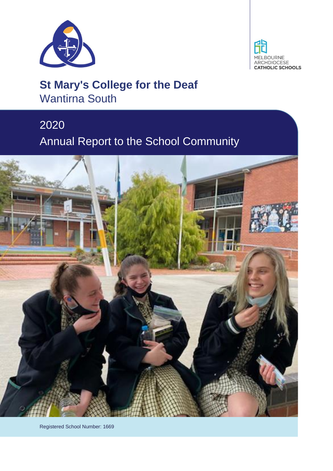



# **St Mary's College for the Deaf** Wantirna South

# 2020 Annual Report to the School Community



Registered School Number: 1669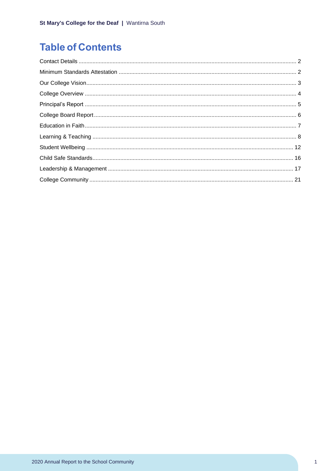# **Table of Contents**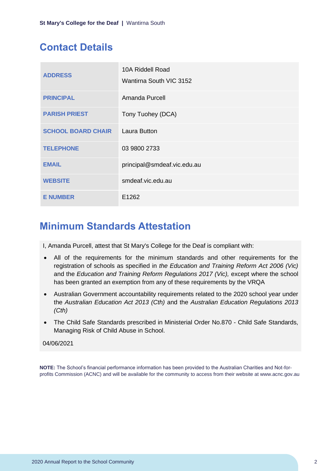# <span id="page-2-0"></span>**Contact Details**

| <b>ADDRESS</b>            | 10A Riddell Road<br>Wantirna South VIC 3152 |
|---------------------------|---------------------------------------------|
| <b>PRINCIPAL</b>          | Amanda Purcell                              |
| <b>PARISH PRIEST</b>      | Tony Tuohey (DCA)                           |
| <b>SCHOOL BOARD CHAIR</b> | <b>Laura Button</b>                         |
| <b>TELEPHONE</b>          | 03 9800 2733                                |
| <b>EMAIL</b>              | principal@smdeaf.vic.edu.au                 |
| <b>WEBSITE</b>            | smdeaf.vic.edu.au                           |
| <b>E NUMBER</b>           | E1262                                       |

# <span id="page-2-1"></span>**Minimum Standards Attestation**

I, Amanda Purcell, attest that St Mary's College for the Deaf is compliant with:

- All of the requirements for the minimum standards and other requirements for the registration of schools as specified in *the Education and Training Reform Act 2006 (Vic)* and the *Education and Training Reform Regulations 2017 (Vic),* except where the school has been granted an exemption from any of these requirements by the VRQA
- Australian Government accountability requirements related to the 2020 school year under the *Australian Education Act 2013 (Cth)* and the *Australian Education Regulations 2013 (Cth)*
- The Child Safe Standards prescribed in Ministerial Order No.870 Child Safe Standards, Managing Risk of Child Abuse in School.

### 04/06/2021

**NOTE:** The School's financial performance information has been provided to the Australian Charities and Not-forprofits Commission (ACNC) and will be available for the community to access from their website at www.acnc.gov.au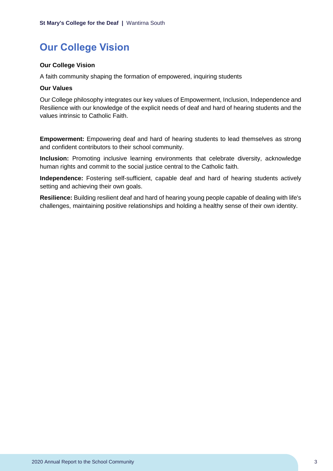# <span id="page-3-0"></span>**Our College Vision**

### **Our College Vision**

A faith community shaping the formation of empowered, inquiring students

#### **Our Values**

Our College philosophy integrates our key values of Empowerment, Inclusion, Independence and Resilience with our knowledge of the explicit needs of deaf and hard of hearing students and the values intrinsic to Catholic Faith.

**Empowerment:** Empowering deaf and hard of hearing students to lead themselves as strong and confident contributors to their school community.

**Inclusion:** Promoting inclusive learning environments that celebrate diversity, acknowledge human rights and commit to the social justice central to the Catholic faith.

**Independence:** Fostering self-sufficient, capable deaf and hard of hearing students actively setting and achieving their own goals.

**Resilience:** Building resilient deaf and hard of hearing young people capable of dealing with life's challenges, maintaining positive relationships and holding a healthy sense of their own identity.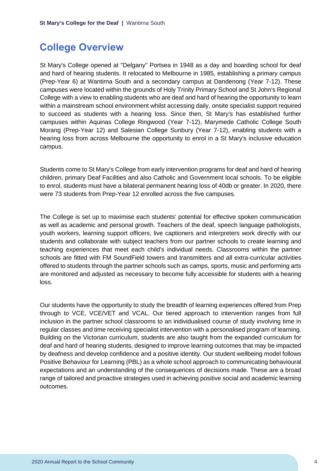# <span id="page-4-0"></span>**College Overview**

St Mary's College opened at "Delgany" Portsea in 1948 as a day and boarding school for deaf and hard of hearing students. It relocated to Melbourne in 1985, establishing a primary campus (Prep-Year 6) at Wantirna South and a secondary campus at Dandenong (Year 7-12). These campuses were located within the grounds of Holy Trinity Primary School and St John's Regional College with a view to enabling students who are deaf and hard of hearing the opportunity to learn within a mainstream school environment whilst accessing daily, onsite specialist support required to succeed as students with a hearing loss. Since then, St Mary's has established further campuses within Aquinas College Ringwood (Year 7-12), Marymede Catholic College South Morang (Prep-Year 12) and Salesian College Sunbury (Year 7-12), enabling students with a hearing loss from across Melbourne the opportunity to enrol in a St Mary's inclusive education campus.

Students come to St Mary's College from early intervention programs for deaf and hard of hearing children, primary Deaf Facilities and also Catholic and Government local schools. To be eligible to enrol, students must have a bilateral permanent hearing loss of 40db or greater. In 2020, there were 73 students from Prep-Year 12 enrolled across the five campuses.

The College is set up to maximise each students' potential for effective spoken communication as well as academic and personal growth. Teachers of the deaf, speech language pathologists, youth workers, learning support officers, live captioners and interpreters work directly with our students and collaborate with subject teachers from our partner schools to create learning and teaching experiences that meet each child's individual needs. Classrooms within the partner schools are fitted with FM SoundField towers and transmitters and all extra-curricular activities offered to students through the partner schools such as camps, sports, music and performing arts are monitored and adjusted as necessary to become fully accessible for students with a hearing loss.

Our students have the opportunity to study the breadth of learning experiences offered from Prep through to VCE, VCE/VET and VCAL. Our tiered approach to intervention ranges from full inclusion in the partner school classrooms to an individualised course of study involving time in regular classes and time receiving specialist intervention with a personalised program of learning. Building on the Victorian curriculum, students are also taught from the expanded curriculum for deaf and hard of hearing students, designed to improve learning outcomes that may be impacted by deafness and develop confidence and a positive identity. Our student wellbeing model follows Positive Behaviour for Learning (PBL) as a whole school approach to communicating behavioural expectations and an understanding of the consequences of decisions made. These are a broad range of tailored and proactive strategies used in achieving positive social and academic learning outcomes.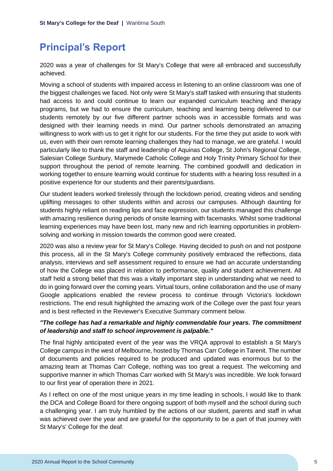# <span id="page-5-0"></span>**Principal's Report**

2020 was a year of challenges for St Mary's College that were all embraced and successfully achieved.

Moving a school of students with impaired access in listening to an online classroom was one of the biggest challenges we faced. Not only were St Mary's staff tasked with ensuring that students had access to and could continue to learn our expanded curriculum teaching and therapy programs, but we had to ensure the curriculum, teaching and learning being delivered to our students remotely by our five different partner schools was in accessible formats and was designed with their learning needs in mind. Our partner schools demonstrated an amazing willingness to work with us to get it right for our students. For the time they put aside to work with us, even with their own remote learning challenges they had to manage, we are grateful. I would particularly like to thank the staff and leadership of Aquinas College, St John's Regional College, Salesian College Sunbury, Marymede Catholic College and Holy Trinity Primary School for their support throughout the period of remote learning. The combined goodwill and dedication in working together to ensure learning would continue for students with a hearing loss resulted in a positive experience for our students and their parents/guardians.

Our student leaders worked tirelessly through the lockdown period, creating videos and sending uplifting messages to other students within and across our campuses. Although daunting for students highly reliant on reading lips and face expression, our students managed this challenge with amazing resilience during periods of onsite learning with facemasks. Whilst some traditional learning experiences may have been lost, many new and rich learning opportunities in problemsolving and working in mission towards the common good were created.

2020 was also a review year for St Mary's College. Having decided to push on and not postpone this process, all in the St Mary's College community positively embraced the reflections, data analysis, interviews and self assessment required to ensure we had an accurate understanding of how the College was placed in relation to performance, quality and student achievement. All staff held a strong belief that this was a vitally important step in understanding what we need to do in going forward over the coming years. Virtual tours, online collaboration and the use of many Google applications enabled the review process to continue through Victoria's lockdown restrictions. The end result highlighted the amazing work of the College over the past four years and is best reflected in the Reviewer's Executive Summary comment below.

### *"The college has had a remarkable and highly commendable four years. The commitment of leadership and staff to school improvement is palpable."*

The final highly anticipated event of the year was the VRQA approval to establish a St Mary's College campus in the west of Melbourne, hosted by Thomas Carr College in Tarenit. The number of documents and policies required to be produced and updated was enormous but to the amazing team at Thomas Carr College, nothing was too great a request. The welcoming and supportive manner in which Thomas Carr worked with St Mary's was incredible. We look forward to our first year of operation there in 2021.

As I reflect on one of the most unique years in my time leading in schools, I would like to thank the DCA and College Board for there ongoing support of both myself and the school during such a challenging year. I am truly humbled by the actions of our student, parents and staff in what was achieved over the year and are grateful for the opportunity to be a part of that journey with St Mary's' College for the deaf.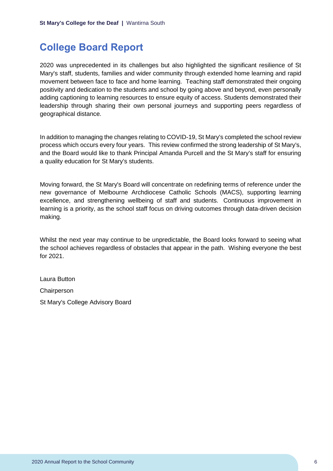# <span id="page-6-0"></span>**College Board Report**

2020 was unprecedented in its challenges but also highlighted the significant resilience of St Mary's staff, students, families and wider community through extended home learning and rapid movement between face to face and home learning. Teaching staff demonstrated their ongoing positivity and dedication to the students and school by going above and beyond, even personally adding captioning to learning resources to ensure equity of access. Students demonstrated their leadership through sharing their own personal journeys and supporting peers regardless of geographical distance.

In addition to managing the changes relating to COVID-19, St Mary's completed the school review process which occurs every four years. This review confirmed the strong leadership of St Mary's, and the Board would like to thank Principal Amanda Purcell and the St Mary's staff for ensuring a quality education for St Mary's students.

Moving forward, the St Mary's Board will concentrate on redefining terms of reference under the new governance of Melbourne Archdiocese Catholic Schools (MACS), supporting learning excellence, and strengthening wellbeing of staff and students. Continuous improvement in learning is a priority, as the school staff focus on driving outcomes through data-driven decision making.

Whilst the next year may continue to be unpredictable, the Board looks forward to seeing what the school achieves regardless of obstacles that appear in the path. Wishing everyone the best for 2021.

Laura Button Chairperson St Mary's College Advisory Board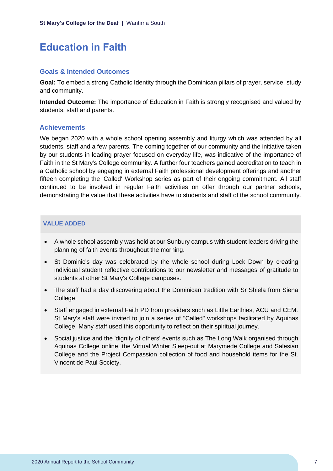# <span id="page-7-0"></span>**Education in Faith**

#### **Goals & Intended Outcomes**

**Goal:** To embed a strong Catholic Identity through the Dominican pillars of prayer, service, study and community.

**Intended Outcome:** The importance of Education in Faith is strongly recognised and valued by students, staff and parents.

### **Achievements**

We began 2020 with a whole school opening assembly and liturgy which was attended by all students, staff and a few parents. The coming together of our community and the initiative taken by our students in leading prayer focused on everyday life, was indicative of the importance of Faith in the St Mary's College community. A further four teachers gained accreditation to teach in a Catholic school by engaging in external Faith professional development offerings and another fifteen completing the 'Called' Workshop series as part of their ongoing commitment. All staff continued to be involved in regular Faith activities on offer through our partner schools, demonstrating the value that these activities have to students and staff of the school community.

### **VALUE ADDED**

- A whole school assembly was held at our Sunbury campus with student leaders driving the planning of faith events throughout the morning.
- St Dominic's day was celebrated by the whole school during Lock Down by creating individual student reflective contributions to our newsletter and messages of gratitude to students at other St Mary's College campuses.
- The staff had a day discovering about the Dominican tradition with Sr Shiela from Siena College.
- Staff engaged in external Faith PD from providers such as Little Earthies, ACU and CEM. St Mary's staff were invited to join a series of "Called" workshops facilitated by Aquinas College. Many staff used this opportunity to reflect on their spiritual journey.
- Social justice and the 'dignity of others' events such as The Long Walk organised through Aquinas College online, the Virtual Winter Sleep-out at Marymede College and Salesian College and the Project Compassion collection of food and household items for the St. Vincent de Paul Society.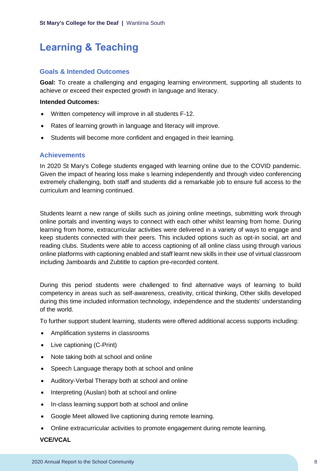# <span id="page-8-0"></span>**Learning & Teaching**

### **Goals & Intended Outcomes**

**Goal:** To create a challenging and engaging learning environment, supporting all students to achieve or exceed their expected growth in language and literacy.

#### **Intended Outcomes:**

- Written competency will improve in all students F-12.
- Rates of learning growth in language and literacy will improve.
- Students will become more confident and engaged in their learning.

#### **Achievements**

In 2020 St Mary's College students engaged with learning online due to the COVID pandemic. Given the impact of hearing loss make s learning independently and through video conferencing extremely challenging, both staff and students did a remarkable job to ensure full access to the curriculum and learning continued.

Students learnt a new range of skills such as joining online meetings, submitting work through online portals and inventing ways to connect with each other whilst learning from home. During learning from home, extracurricular activities were delivered in a variety of ways to engage and keep students connected with their peers. This included options such as opt-in social, art and reading clubs. Students were able to access captioning of all online class using through various online platforms with captioning enabled and staff learnt new skills in their use of virtual classroom including Jamboards and Zubtitle to caption pre-recorded content.

During this period students were challenged to find alternative ways of learning to build competency in areas such as self-awareness, creativity, critical thinking, Other skills developed during this time included information technology, independence and the students' understanding of the world.

To further support student learning, students were offered additional access supports including:

- Amplification systems in classrooms
- Live captioning (C-Print)
- Note taking both at school and online
- Speech Language therapy both at school and online
- Auditory-Verbal Therapy both at school and online
- Interpreting (Auslan) both at school and online
- In-class learning support both at school and online
- Google Meet allowed live captioning during remote learning.
- Online extracurricular activities to promote engagement during remote learning.

#### **VCE/VCAL**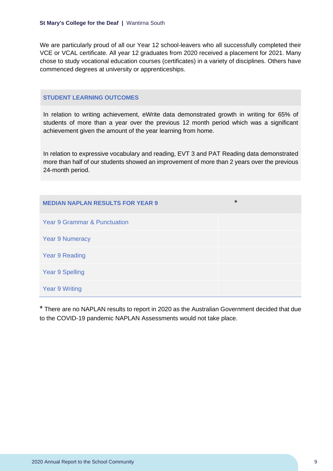We are particularly proud of all our Year 12 school-leavers who all successfully completed their VCE or VCAL certificate. All year 12 graduates from 2020 received a placement for 2021. Many chose to study vocational education courses (certificates) in a variety of disciplines. Others have commenced degrees at university or apprenticeships.

#### **STUDENT LEARNING OUTCOMES**

In relation to writing achievement, eWrite data demonstrated growth in writing for 65% of students of more than a year over the previous 12 month period which was a significant achievement given the amount of the year learning from home.

In relation to expressive vocabulary and reading, EVT 3 and PAT Reading data demonstrated more than half of our students showed an improvement of more than 2 years over the previous 24-month period.

| <b>MEDIAN NAPLAN RESULTS FOR YEAR 9</b> | $\star$ |
|-----------------------------------------|---------|
| <b>Year 9 Grammar &amp; Punctuation</b> |         |
| <b>Year 9 Numeracy</b>                  |         |
| Year 9 Reading                          |         |
| <b>Year 9 Spelling</b>                  |         |
| <b>Year 9 Writing</b>                   |         |

\* There are no NAPLAN results to report in 2020 as the Australian Government decided that due to the COVID-19 pandemic NAPLAN Assessments would not take place.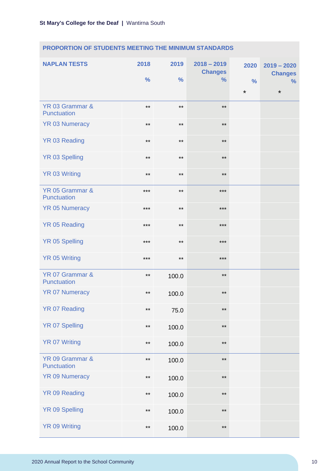# **PROPORTION OF STUDENTS MEETING THE MINIMUM STANDARDS**

| <b>NAPLAN TESTS</b>            | 2018<br>$\frac{9}{6}$ | 2019<br>$\frac{0}{0}$ | $2018 - 2019$<br><b>Changes</b><br>$\frac{0}{0}$ | 2020<br>$\frac{9}{6}$ | $2019 - 2020$<br><b>Changes</b><br>% |
|--------------------------------|-----------------------|-----------------------|--------------------------------------------------|-----------------------|--------------------------------------|
|                                |                       |                       |                                                  | $\star$               | $\star$                              |
| YR 03 Grammar &<br>Punctuation | $***$                 | $***$                 | $***$                                            |                       |                                      |
| <b>YR 03 Numeracy</b>          | $***$                 | $***$                 | $***$                                            |                       |                                      |
| <b>YR 03 Reading</b>           | $***$                 | $***$                 | $***$                                            |                       |                                      |
| <b>YR 03 Spelling</b>          | $***$                 | $***$                 | $***$                                            |                       |                                      |
| <b>YR 03 Writing</b>           | $***$                 | $***$                 | $***$                                            |                       |                                      |
| YR 05 Grammar &<br>Punctuation | $***$                 | $***$                 | $***$                                            |                       |                                      |
| <b>YR 05 Numeracy</b>          | $***$                 | $***$                 | $***$                                            |                       |                                      |
| <b>YR 05 Reading</b>           | $***$                 | $***$                 | $***$                                            |                       |                                      |
| <b>YR 05 Spelling</b>          | $***$                 | $***$                 | $***$                                            |                       |                                      |
| <b>YR 05 Writing</b>           | $***$                 | $***$                 | $***$                                            |                       |                                      |
| YR 07 Grammar &<br>Punctuation | $***$                 | 100.0                 | $***$                                            |                       |                                      |
| <b>YR 07 Numeracy</b>          | $***$                 | 100.0                 | $***$                                            |                       |                                      |
| YR 07 Reading                  | $***$                 | 75.0                  | $***$                                            |                       |                                      |
| <b>YR 07 Spelling</b>          | $***$                 | 100.0                 | $\star\star$                                     |                       |                                      |
| <b>YR 07 Writing</b>           | $***$                 | 100.0                 | $***$                                            |                       |                                      |
| YR 09 Grammar &<br>Punctuation | $***$                 | 100.0                 | $***$                                            |                       |                                      |
| <b>YR 09 Numeracy</b>          | $***$                 | 100.0                 | $***$                                            |                       |                                      |
| YR 09 Reading                  | $***$                 | 100.0                 | $***$                                            |                       |                                      |
| YR 09 Spelling                 | $***$                 | 100.0                 | $\star\star$                                     |                       |                                      |
| <b>YR 09 Writing</b>           | $***$                 | 100.0                 | $***$                                            |                       |                                      |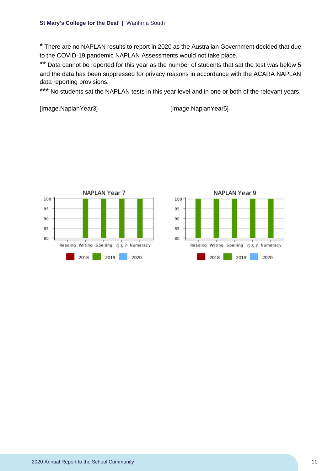\* There are no NAPLAN results to report in 2020 as the Australian Government decided that due to the COVID-19 pandemic NAPLAN Assessments would not take place.

\*\* Data cannot be reported for this year as the number of students that sat the test was below 5 and the data has been suppressed for privacy reasons in accordance with the ACARA NAPLAN data reporting provisions.

\*\*\* No students sat the NAPLAN tests in this year level and in one or both of the relevant years.

```
[Image.NaplanYear3] [Image.NaplanYear5]
```


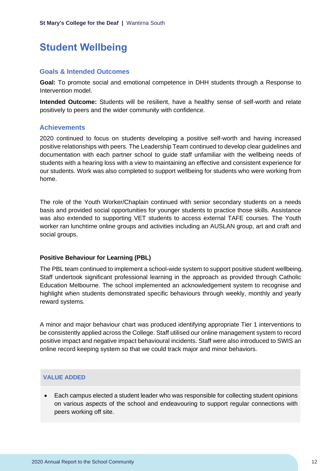# <span id="page-12-0"></span>**Student Wellbeing**

### **Goals & Intended Outcomes**

**Goal:** To promote social and emotional competence in DHH students through a Response to Intervention model.

**Intended Outcome:** Students will be resilient, have a healthy sense of self-worth and relate positively to peers and the wider community with confidence.

# **Achievements**

2020 continued to focus on students developing a positive self-worth and having increased positive relationships with peers. The Leadership Team continued to develop clear guidelines and documentation with each partner school to guide staff unfamiliar with the wellbeing needs of students with a hearing loss with a view to maintaining an effective and consistent experience for our students. Work was also completed to support wellbeing for students who were working from home.

The role of the Youth Worker/Chaplain continued with senior secondary students on a needs basis and provided social opportunities for younger students to practice those skills. Assistance was also extended to supporting VET students to access external TAFE courses. The Youth worker ran lunchtime online groups and activities including an AUSLAN group, art and craft and social groups.

### **Positive Behaviour for Learning (PBL)**

The PBL team continued to implement a school-wide system to support positive student wellbeing. Staff undertook significant professional learning in the approach as provided through Catholic Education Melbourne. The school implemented an acknowledgement system to recognise and highlight when students demonstrated specific behaviours through weekly, monthly and yearly reward systems.

A minor and major behaviour chart was produced identifying appropriate Tier 1 interventions to be consistently applied across the College. Staff utilised our online management system to record positive impact and negative impact behavioural incidents. Staff were also introduced to SWIS an online record keeping system so that we could track major and minor behaviors.

### **VALUE ADDED**

• Each campus elected a student leader who was responsible for collecting student opinions on various aspects of the school and endeavouring to support regular connections with peers working off site.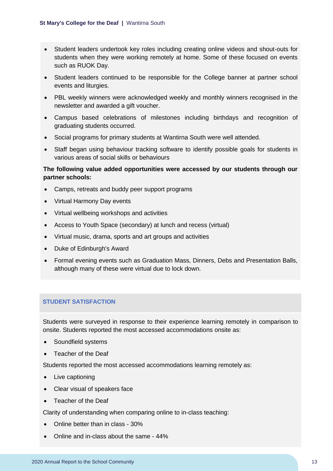- Student leaders undertook key roles including creating online videos and shout-outs for students when they were working remotely at home. Some of these focused on events such as RUOK Day.
- Student leaders continued to be responsible for the College banner at partner school events and liturgies.
- PBL weekly winners were acknowledged weekly and monthly winners recognised in the newsletter and awarded a gift voucher.
- Campus based celebrations of milestones including birthdays and recognition of graduating students occurred.
- Social programs for primary students at Wantirna South were well attended.
- Staff began using behaviour tracking software to identify possible goals for students in various areas of social skills or behaviours

# **The following value added opportunities were accessed by our students through our partner schools:**

- Camps, retreats and buddy peer support programs
- Virtual Harmony Day events
- Virtual wellbeing workshops and activities
- Access to Youth Space (secondary) at lunch and recess (virtual)
- Virtual music, drama, sports and art groups and activities
- Duke of Edinburgh's Award
- Formal evening events such as Graduation Mass, Dinners, Debs and Presentation Balls, although many of these were virtual due to lock down.

### **STUDENT SATISFACTION**

Students were surveyed in response to their experience learning remotely in comparison to onsite. Students reported the most accessed accommodations onsite as:

- Soundfield systems
- Teacher of the Deaf

Students reported the most accessed accommodations learning remotely as:

- Live captioning
- Clear visual of speakers face
- Teacher of the Deaf

Clarity of understanding when comparing online to in-class teaching:

- Online better than in class 30%
- Online and in-class about the same 44%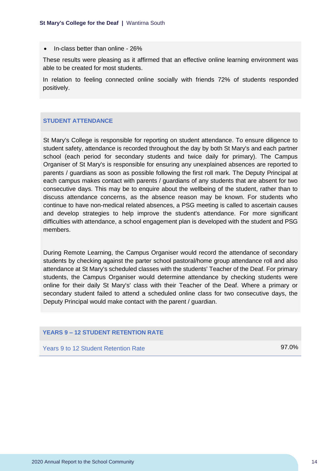• In-class better than online - 26%

These results were pleasing as it affirmed that an effective online learning environment was able to be created for most students.

In relation to feeling connected online socially with friends 72% of students responded positively.

#### **STUDENT ATTENDANCE**

St Mary's College is responsible for reporting on student attendance. To ensure diligence to student safety, attendance is recorded throughout the day by both St Mary's and each partner school (each period for secondary students and twice daily for primary). The Campus Organiser of St Mary's is responsible for ensuring any unexplained absences are reported to parents / guardians as soon as possible following the first roll mark. The Deputy Principal at each campus makes contact with parents / guardians of any students that are absent for two consecutive days. This may be to enquire about the wellbeing of the student, rather than to discuss attendance concerns, as the absence reason may be known. For students who continue to have non-medical related absences, a PSG meeting is called to ascertain causes and develop strategies to help improve the student's attendance. For more significant difficulties with attendance, a school engagement plan is developed with the student and PSG members.

During Remote Learning, the Campus Organiser would record the attendance of secondary students by checking against the parter school pastoral/home group attendance roll and also attendance at St Mary's scheduled classes with the students' Teacher of the Deaf. For primary students, the Campus Organiser would determine attendance by checking students were online for their daily St Mary's' class with their Teacher of the Deaf. Where a primary or secondary student failed to attend a scheduled online class for two consecutive days, the Deputy Principal would make contact with the parent / guardian.

#### **YEARS 9 – 12 STUDENT RETENTION RATE**

Years 9 to 12 Student Retention Rate 97.0%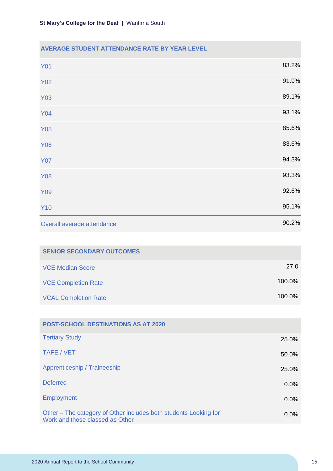| <b>AVERAGE STUDENT ATTENDANCE RATE BY YEAR LEVEL</b> |       |
|------------------------------------------------------|-------|
| <b>Y01</b>                                           | 83.2% |
| <b>Y02</b>                                           | 91.9% |
| <b>Y03</b>                                           | 89.1% |
| <b>Y04</b>                                           | 93.1% |
| <b>Y05</b>                                           | 85.6% |
| <b>Y06</b>                                           | 83.6% |
| <b>Y07</b>                                           | 94.3% |
| <b>Y08</b>                                           | 93.3% |
| <b>Y09</b>                                           | 92.6% |
| <b>Y10</b>                                           | 95.1% |
| Overall average attendance                           | 90.2% |

| <b>SENIOR SECONDARY OUTCOMES</b> |        |
|----------------------------------|--------|
| <b>VCE Median Score</b>          | 27.0   |
| <b>VCE Completion Rate</b>       | 100.0% |
| <b>VCAL Completion Rate</b>      | 100.0% |

| <b>POST-SCHOOL DESTINATIONS AS AT 2020</b>                                                          |         |
|-----------------------------------------------------------------------------------------------------|---------|
| <b>Tertiary Study</b>                                                                               | 25.0%   |
| TAFE / VET                                                                                          | 50.0%   |
| Apprenticeship / Traineeship                                                                        | 25.0%   |
| <b>Deferred</b>                                                                                     | $0.0\%$ |
| <b>Employment</b>                                                                                   | $0.0\%$ |
| Other - The category of Other includes both students Looking for<br>Work and those classed as Other | $0.0\%$ |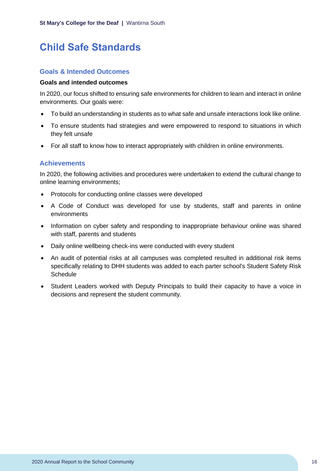# <span id="page-16-0"></span>**Child Safe Standards**

### **Goals & Intended Outcomes**

#### **Goals and intended outcomes**

In 2020, our focus shifted to ensuring safe environments for children to learn and interact in online environments. Our goals were:

- To build an understanding in students as to what safe and unsafe interactions look like online.
- To ensure students had strategies and were empowered to respond to situations in which they felt unsafe
- For all staff to know how to interact appropriately with children in online environments.

### **Achievements**

In 2020, the following activities and procedures were undertaken to extend the cultural change to online learning environments;

- Protocols for conducting online classes were developed
- A Code of Conduct was developed for use by students, staff and parents in online environments
- Information on cyber safety and responding to inappropriate behaviour online was shared with staff, parents and students
- Daily online wellbeing check-ins were conducted with every student
- An audit of potential risks at all campuses was completed resulted in additional risk items specifically relating to DHH students was added to each parter school's Student Safety Risk **Schedule**
- Student Leaders worked with Deputy Principals to build their capacity to have a voice in decisions and represent the student community.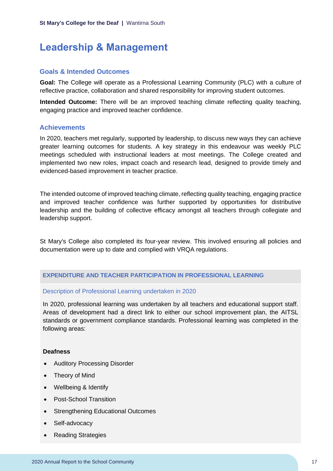# <span id="page-17-0"></span>**Leadership & Management**

### **Goals & Intended Outcomes**

**Goal:** The College will operate as a Professional Learning Community (PLC) with a culture of reflective practice, collaboration and shared responsibility for improving student outcomes.

**Intended Outcome:** There will be an improved teaching climate reflecting quality teaching, engaging practice and improved teacher confidence.

# **Achievements**

In 2020, teachers met regularly, supported by leadership, to discuss new ways they can achieve greater learning outcomes for students. A key strategy in this endeavour was weekly PLC meetings scheduled with instructional leaders at most meetings. The College created and implemented two new roles, impact coach and research lead, designed to provide timely and evidenced-based improvement in teacher practice.

The intended outcome of improved teaching climate, reflecting quality teaching, engaging practice and improved teacher confidence was further supported by opportunities for distributive leadership and the building of collective efficacy amongst all teachers through collegiate and leadership support.

St Mary's College also completed its four-year review. This involved ensuring all policies and documentation were up to date and complied with VRQA regulations.

### **EXPENDITURE AND TEACHER PARTICIPATION IN PROFESSIONAL LEARNING**

#### Description of Professional Learning undertaken in 2020

In 2020, professional learning was undertaken by all teachers and educational support staff. Areas of development had a direct link to either our school improvement plan, the AITSL standards or government compliance standards. Professional learning was completed in the following areas:

#### **Deafness**

- Auditory Processing Disorder
- Theory of Mind
- Wellbeing & Identify
- Post-School Transition
- Strengthening Educational Outcomes
- Self-advocacy
- Reading Strategies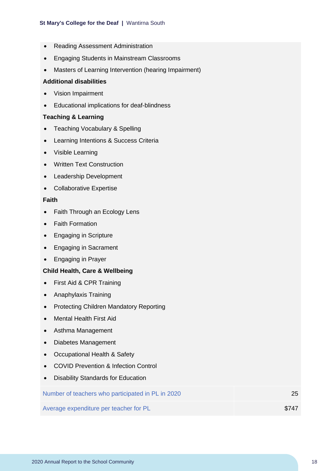- Reading Assessment Administration
- Engaging Students in Mainstream Classrooms
- Masters of Learning Intervention (hearing Impairment)

#### **Additional disabilities**

- Vision Impairment
- Educational implications for deaf-blindness

#### **Teaching & Learning**

- Teaching Vocabulary & Spelling
- Learning Intentions & Success Criteria
- Visible Learning
- Written Text Construction
- Leadership Development
- Collaborative Expertise

#### **Faith**

- Faith Through an Ecology Lens
- Faith Formation
- Engaging in Scripture
- Engaging in Sacrament
- Engaging in Prayer

#### **Child Health, Care & Wellbeing**

- First Aid & CPR Training
- Anaphylaxis Training
- Protecting Children Mandatory Reporting
- Mental Health First Aid
- Asthma Management
- Diabetes Management
- Occupational Health & Safety
- COVID Prevention & Infection Control
- Disability Standards for Education

| Number of teachers who participated in PL in 2020 | 25    |
|---------------------------------------------------|-------|
| Average expenditure per teacher for PL            | \$747 |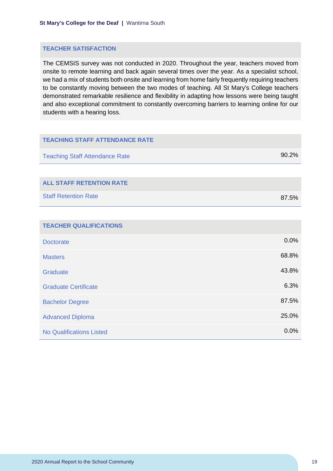#### **TEACHER SATISFACTION**

The CEMSIS survey was not conducted in 2020. Throughout the year, teachers moved from onsite to remote learning and back again several times over the year. As a specialist school, we had a mix of students both onsite and learning from home fairly frequently requiring teachers to be constantly moving between the two modes of teaching. All St Mary's College teachers demonstrated remarkable resilience and flexibility in adapting how lessons were being taught and also exceptional commitment to constantly overcoming barriers to learning online for our students with a hearing loss.

| <b>TEACHING STAFF ATTENDANCE RATE</b> |       |
|---------------------------------------|-------|
| <b>Teaching Staff Attendance Rate</b> | 90.2% |
|                                       |       |
| <b>ALL STAFF RETENTION RATE</b>       |       |
| <b>Staff Retention Rate</b>           | 87.5% |
|                                       |       |
| <b>TEACHER QUALIFICATIONS</b>         |       |
| <b>Doctorate</b>                      | 0.0%  |
| <b>Masters</b>                        | 68.8% |
| Graduate                              | 43.8% |
| <b>Graduate Certificate</b>           | 6.3%  |
| <b>Bachelor Degree</b>                | 87.5% |
| <b>Advanced Diploma</b>               | 25.0% |
| <b>No Qualifications Listed</b>       | 0.0%  |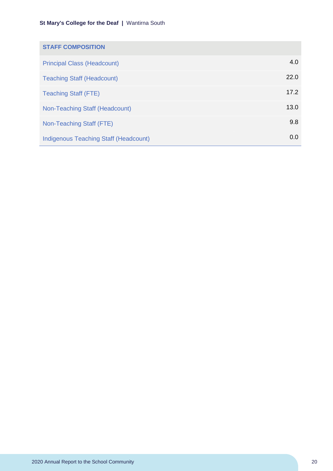| <b>STAFF COMPOSITION</b>                     |      |
|----------------------------------------------|------|
| <b>Principal Class (Headcount)</b>           | 4.0  |
| <b>Teaching Staff (Headcount)</b>            | 22.0 |
| <b>Teaching Staff (FTE)</b>                  | 17.2 |
| Non-Teaching Staff (Headcount)               | 13.0 |
| Non-Teaching Staff (FTE)                     | 9.8  |
| <b>Indigenous Teaching Staff (Headcount)</b> | 0.0  |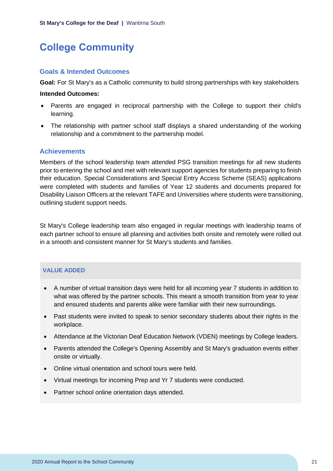# <span id="page-21-0"></span>**College Community**

#### **Goals & Intended Outcomes**

**Goal:** For St Mary's as a Catholic community to build strong partnerships with key stakeholders

#### **Intended Outcomes:**

- Parents are engaged in reciprocal partnership with the College to support their child's learning.
- The relationship with partner school staff displays a shared understanding of the working relationship and a commitment to the partnership model.

#### **Achievements**

Members of the school leadership team attended PSG transition meetings for all new students prior to entering the school and met with relevant support agencies for students preparing to finish their education. Special Considerations and Special Entry Access Scheme (SEAS) applications were completed with students and families of Year 12 students and documents prepared for Disability Liaison Officers at the relevant TAFE and Universities where students were transitioning, outlining student support needs.

St Mary's College leadership team also engaged in regular meetings with leadership teams of each partner school to ensure all planning and activities both onsite and remotely were rolled out in a smooth and consistent manner for St Mary's students and families.

#### **VALUE ADDED**

- A number of virtual transition days were held for all incoming year 7 students in addition to what was offered by the partner schools. This meant a smooth transition from year to year and ensured students and parents alike were familiar with their new surroundings.
- Past students were invited to speak to senior secondary students about their rights in the workplace.
- Attendance at the Victorian Deaf Education Network (VDEN) meetings by College leaders.
- Parents attended the College's Opening Assembly and St Mary's graduation events either onsite or virtually.
- Online virtual orientation and school tours were held.
- Virtual meetings for incoming Prep and Yr 7 students were conducted.
- Partner school online orientation days attended.